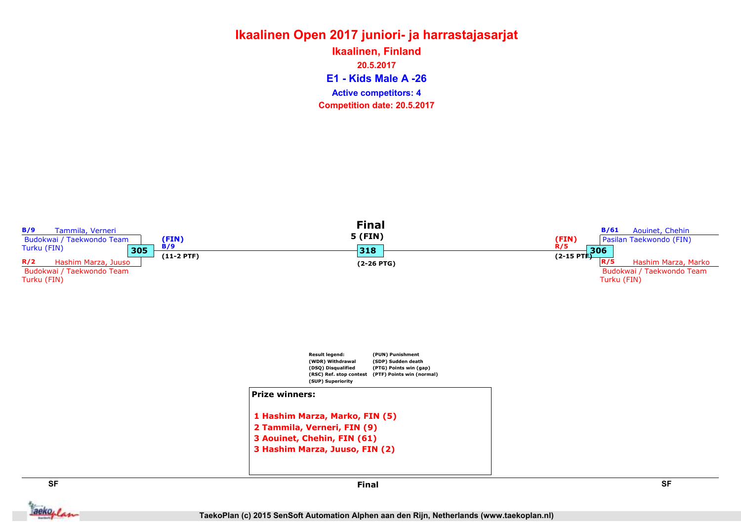#### Ikaalinen Open 2017 juniori- ja harrastajasarjat E1 - Kids Male A -26 Ikaalinen, Finland 20.5.2017 Competition date: 20.5.2017 Active competitors: 4



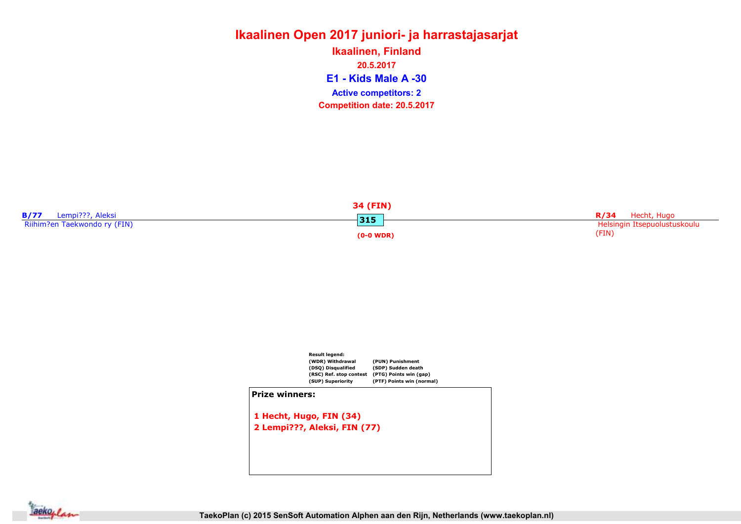# Ikaalinen Open 2017 juniori- ja harrastajasarjat E1 - Kids Male A -30 Ikaalinen, Finland 20.5.2017 Competition date: 20.5.2017 Active competitors: 2

|                              | 34 (FIN)    |                              |
|------------------------------|-------------|------------------------------|
| Lempi???, Aleksi             | $315$       | Hecht, Hugo<br>R/34          |
| Riihim?en Taekwondo ry (FIN) |             | Helsingin Itsepuolustuskoulu |
|                              | $(0-0 WDR)$ | (FIN)                        |



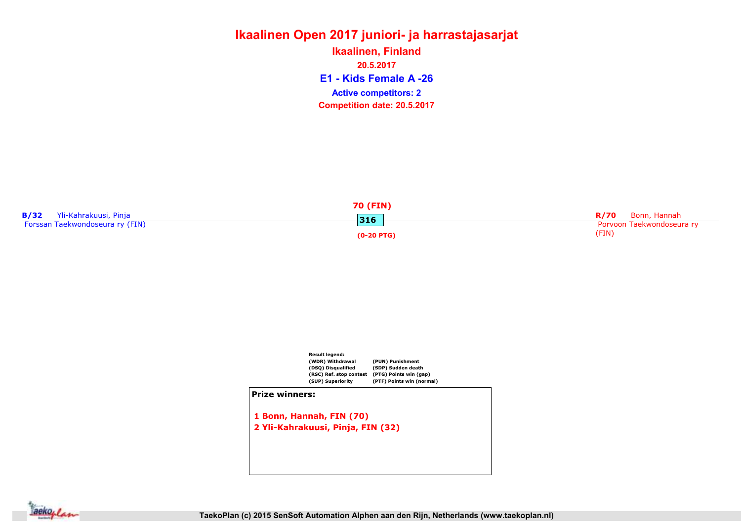# Ikaalinen Open 2017 juniori- ja harrastajasarjat E1 - Kids Female A -26 Ikaalinen, Finland 20.5.2017 Competition date: 20.5.2017 Active competitors: 2

|                                 | 70 (FIN)     |                           |
|---------------------------------|--------------|---------------------------|
| Yli-Kahrakuusi, Pinja           | 316          | R/70<br>Bonn, Hannah      |
| Forssan Taekwondoseura ry (FIN) |              | Porvoon Taekwondoseura ry |
|                                 | $(0-20$ PTG) | (FIN)                     |



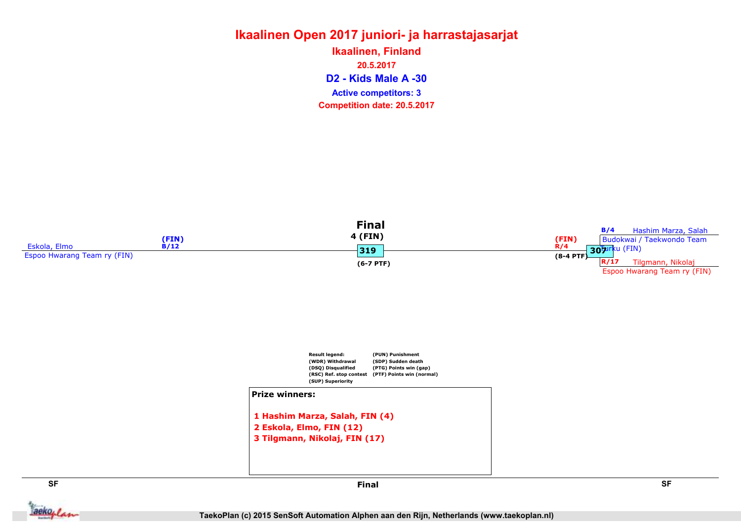# Ikaalinen Open 2017 juniori- ja harrastajasarjat D2 - Kids Male A -30 Ikaalinen, Finland 20.5.2017 Competition date: 20.5.2017 Active competitors: 3





```
1 Hashim Marza, Salah, FIN (4)
2 Eskola, Elmo, FIN (12)
3 Tilgmann, Nikolaj, FIN (17)
```


SF SF Final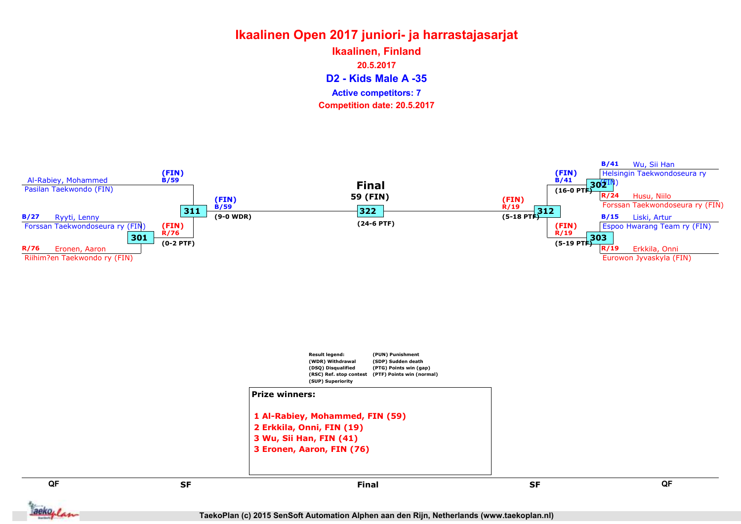# Ikaalinen Open 2017 juniori- ja harrastajasarjat D2 - Kids Male A -35 Ikaalinen, Finland 20.5.2017 Competition date: 20.5.2017 Active competitors: 7





```
1 Al-Rabiey, Mohammed, FIN (59)
2 Erkkila, Onni, FIN (19)
3 Wu, Sii Han, FIN (41)
3 Eronen, Aaron, FIN (76)
```
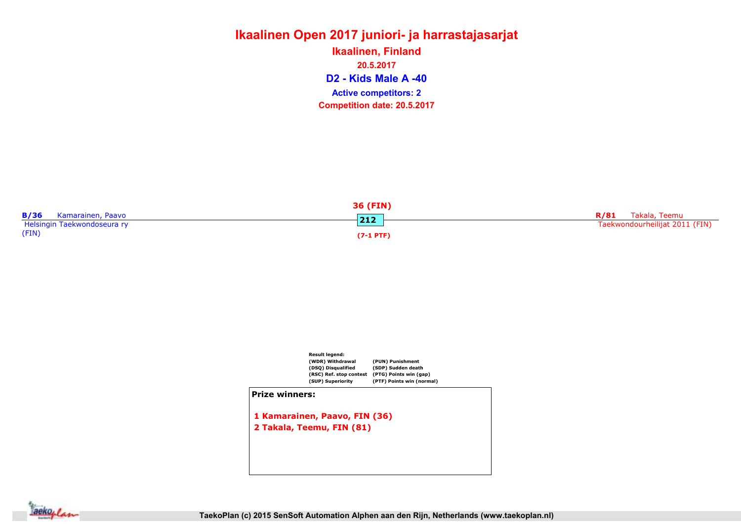# Ikaalinen Open 2017 juniori- ja harrastajasarjat D2 - Kids Male A -40 Ikaalinen, Finland 20.5.2017 Competition date: 20.5.2017 Active competitors: 2

| 36 (FIN)                         |           |                                |  |  |  |
|----------------------------------|-----------|--------------------------------|--|--|--|
| <b>B/36</b><br>Kamarainen, Paavo | <b>DE</b> | R/81 Takala, Teemu             |  |  |  |
| Helsingin Taekwondoseura ry      | .         | Taekwondourheilijat 2011 (FIN) |  |  |  |
| (FIN)                            | (7-1 PTF  |                                |  |  |  |



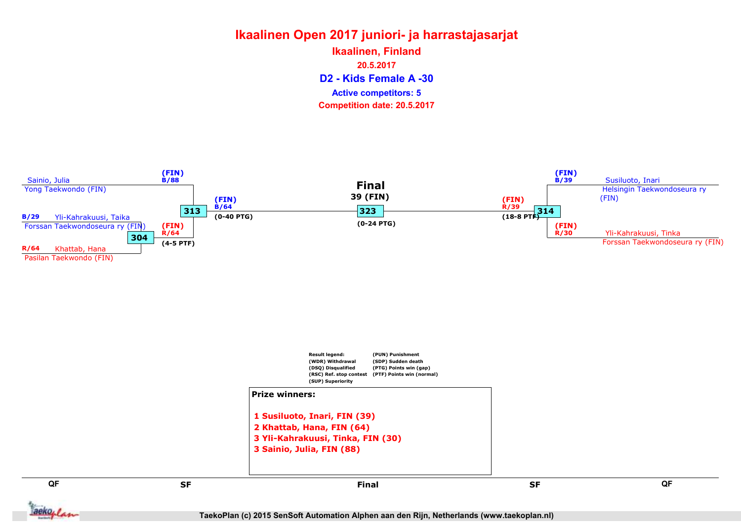# Ikaalinen Open 2017 juniori- ja harrastajasarjat D2 - Kids Female A -30 Ikaalinen, Finland 20.5.2017 Competition date: 20.5.2017 Active competitors: 5





```
2 Khattab, Hana, FIN (64)
3 Yli-Kahrakuusi, Tinka, FIN (30)
3 Sainio, Julia, FIN (88)
```
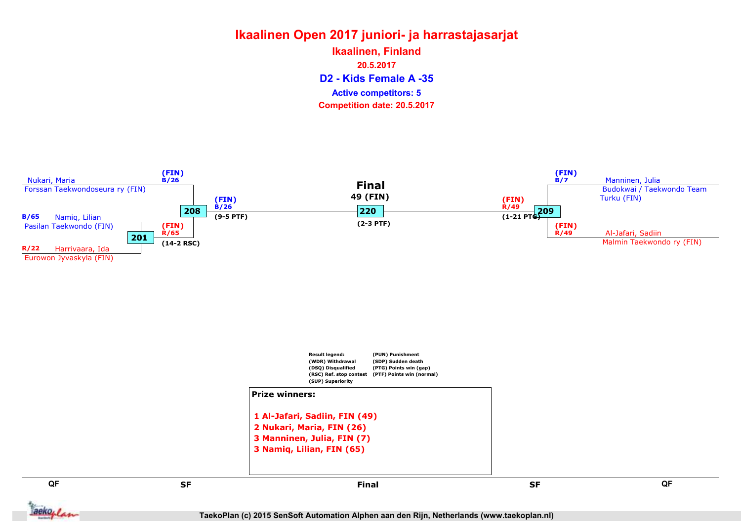# Ikaalinen Open 2017 juniori- ja harrastajasarjat D2 - Kids Female A -35 Ikaalinen, Finland 20.5.2017 Competition date: 20.5.2017 Active competitors: 5





**Jackoplan**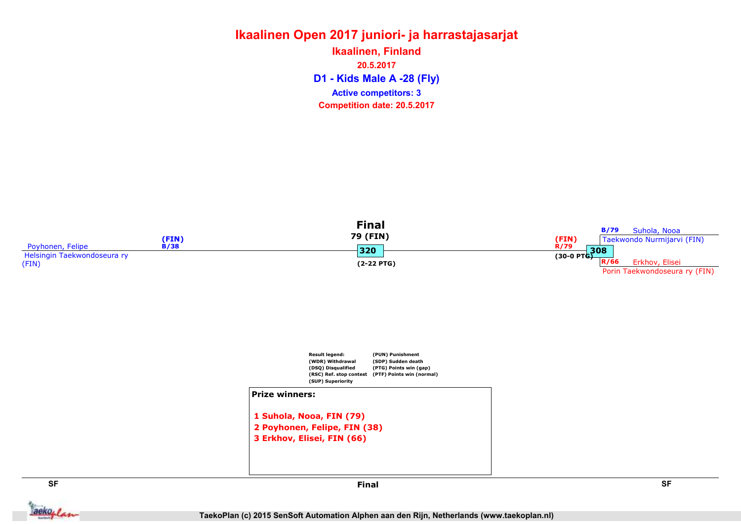#### Ikaalinen Open 2017 juniori- ja harrastajasarjat Ikaalinen, Finland 20.5.2017

D1 - Kids Male A -28 (Fly) Competition date: 20.5.2017 Active competitors: 3







**Jackoplan** 

SF SF Final

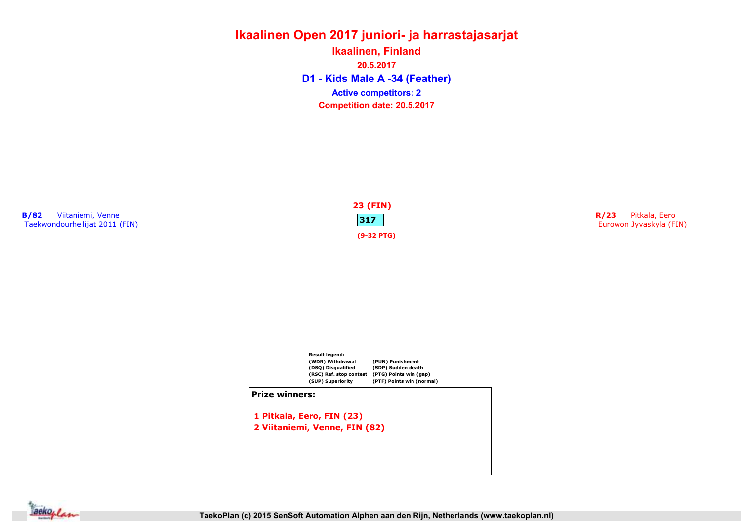#### Ikaalinen Open 2017 juniori- ja harrastajasarjat D1 - Kids Male A -34 (Feather) Ikaalinen, Finland 20.5.2017 Competition date: 20.5.2017 Active competitors: 2





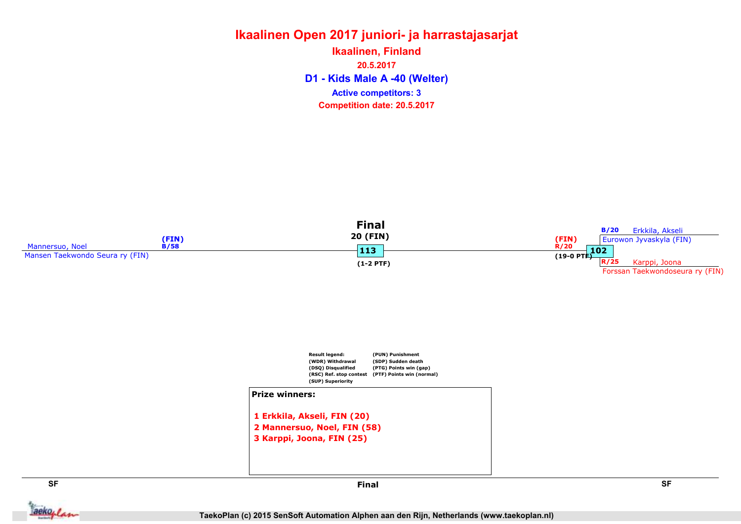#### Ikaalinen Open 2017 juniori- ja harrastajasarjat D1 - Kids Male A -40 (Welter) Ikaalinen, Finland 20.5.2017 Competition date: 20.5.2017 Active competitors: 3





**Jackoplan** 

SF SF Final

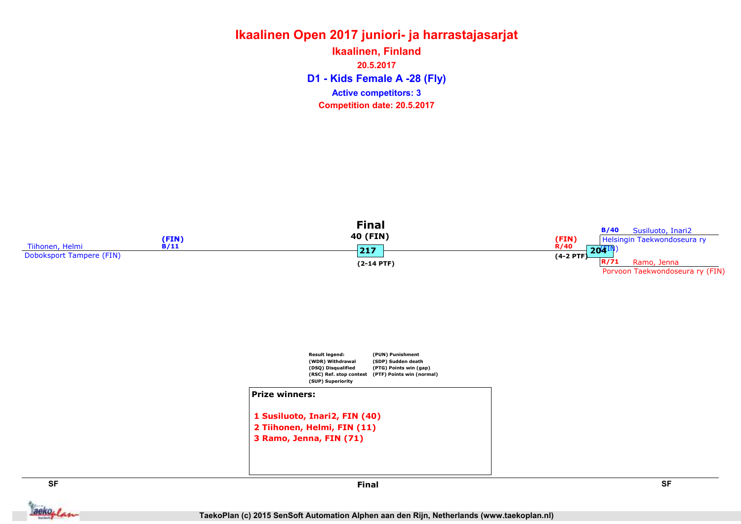#### Ikaalinen Open 2017 juniori- ja harrastajasarjat D1 - Kids Female A -28 (Fly) Ikaalinen, Finland 20.5.2017 Competition date: 20.5.2017 Active competitors: 3







aekoplan

SF SF Final

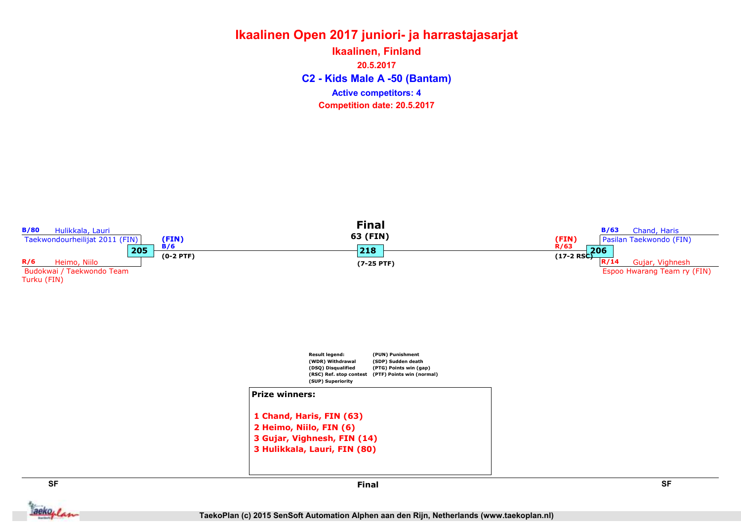#### Ikaalinen Open 2017 juniori- ja harrastajasarjat C2 - Kids Male A -50 (Bantam) Ikaalinen, Finland 20.5.2017 Competition date: 20.5.2017 Active competitors: 4

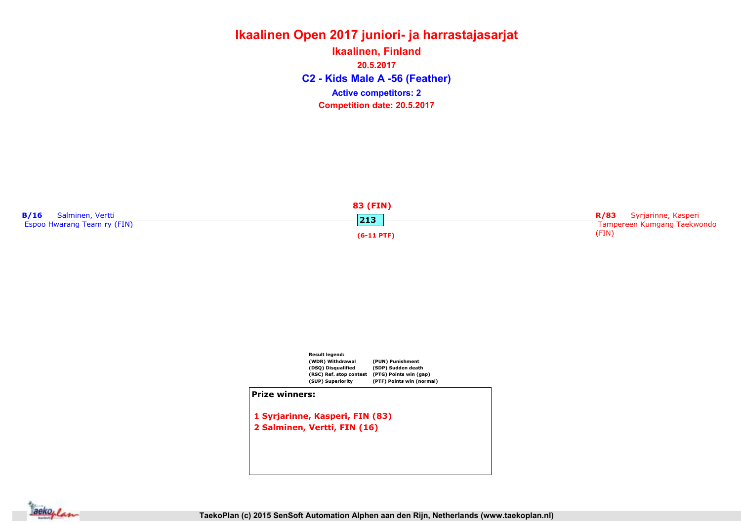## Ikaalinen Open 2017 juniori- ja harrastajasarjat C2 - Kids Male A -56 (Feather) Ikaalinen, Finland 20.5.2017 Competition date: 20.5.2017 Active competitors: 2





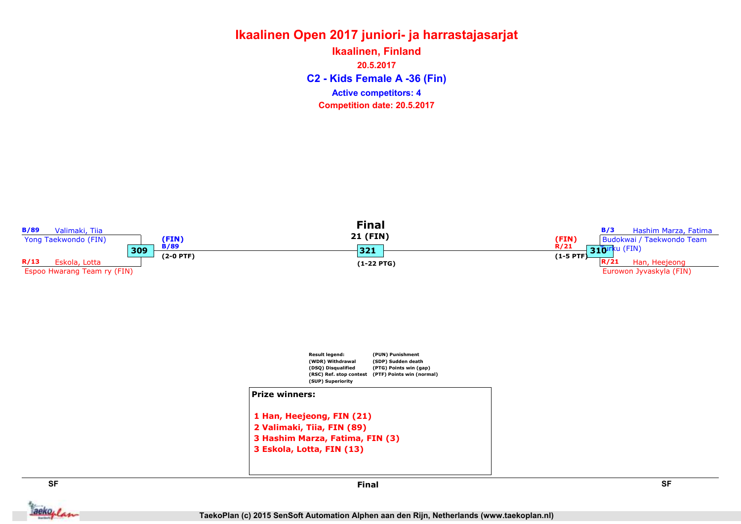#### Ikaalinen Open 2017 juniori- ja harrastajasarjat C2 - Kids Female A -36 (Fin) Ikaalinen, Finland 20.5.2017 Competition date: 20.5.2017 Active competitors: 4

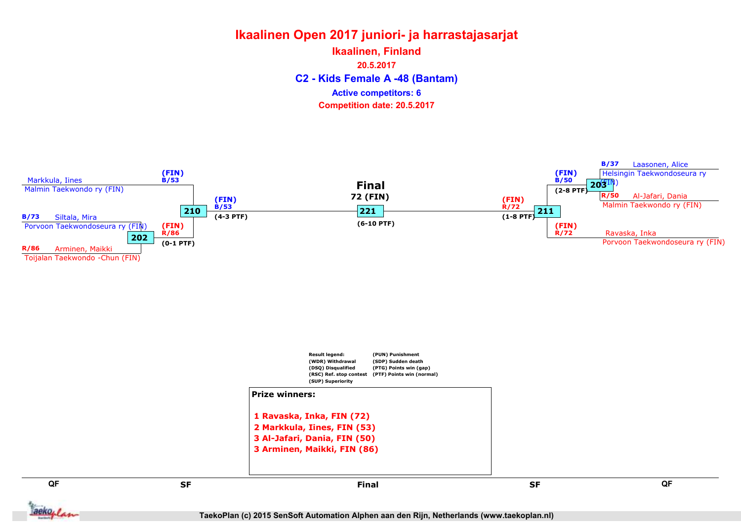# Ikaalinen Open 2017 juniori- ja harrastajasarjat C2 - Kids Female A -48 (Bantam) Ikaalinen, Finland 20.5.2017 Competition date: 20.5.2017 Active competitors: 6





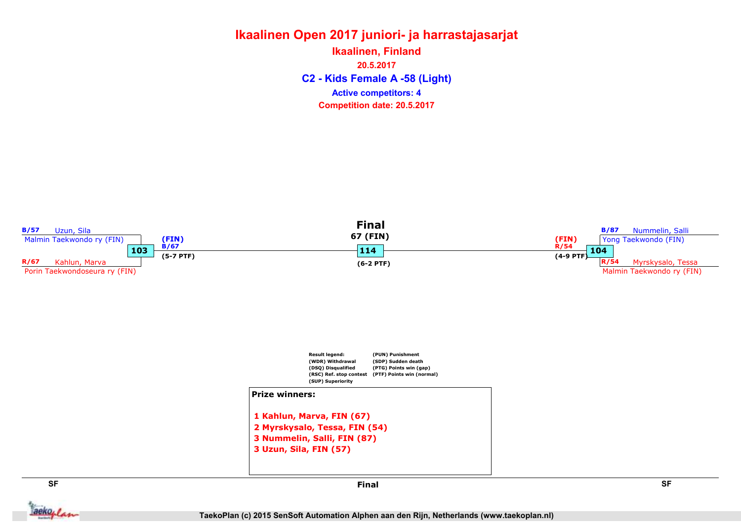#### Ikaalinen Open 2017 juniori- ja harrastajasarjat C2 - Kids Female A -58 (Light) Ikaalinen, Finland 20.5.2017 Competition date: 20.5.2017 Active competitors: 4

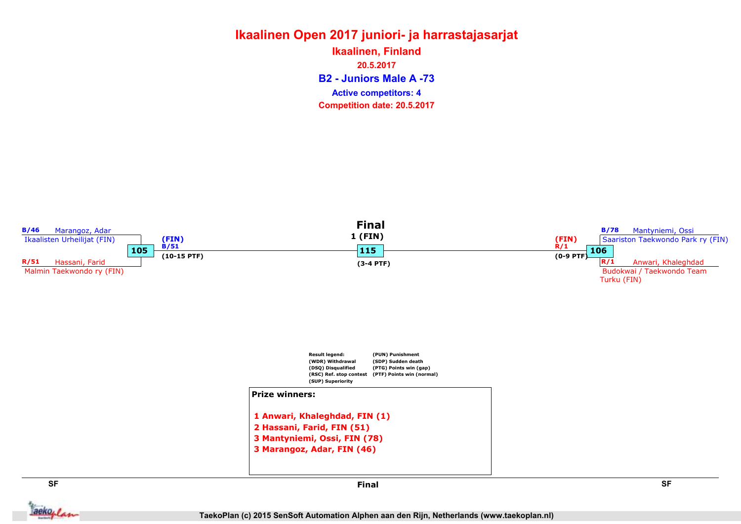## Ikaalinen Open 2017 juniori- ja harrastajasarjat B2 - Juniors Male A -73 Ikaalinen, Finland 20.5.2017 Competition date: 20.5.2017 Active competitors: 4

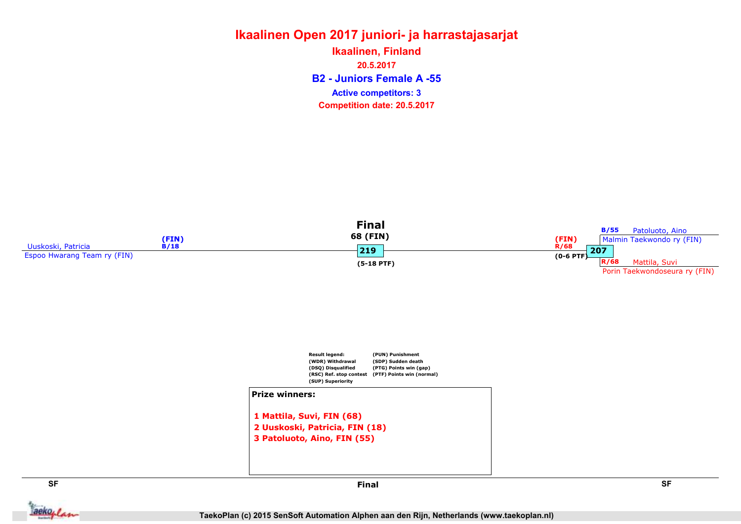#### Ikaalinen Open 2017 juniori- ja harrastajasarjat B2 - Juniors Female A -55 Ikaalinen, Finland 20.5.2017 Competition date: 20.5.2017 Active competitors: 3







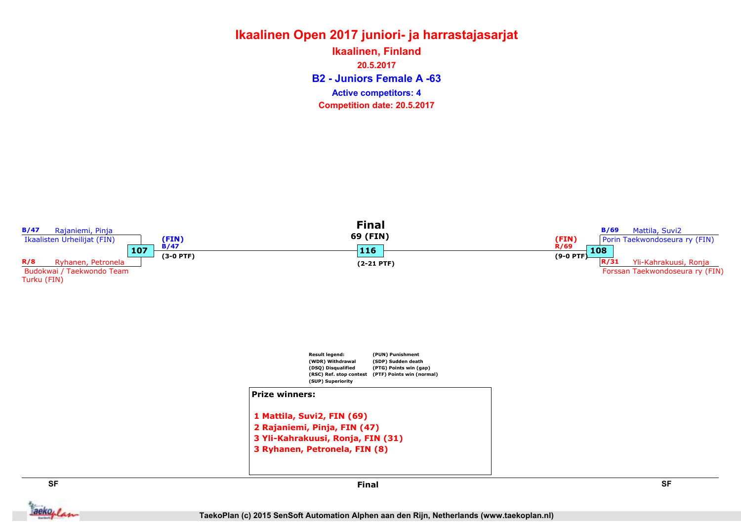#### Ikaalinen Open 2017 juniori- ja harrastajasarjat B2 - Juniors Female A -63 Ikaalinen, Finland 20.5.2017 Competition date: 20.5.2017 Active competitors: 4

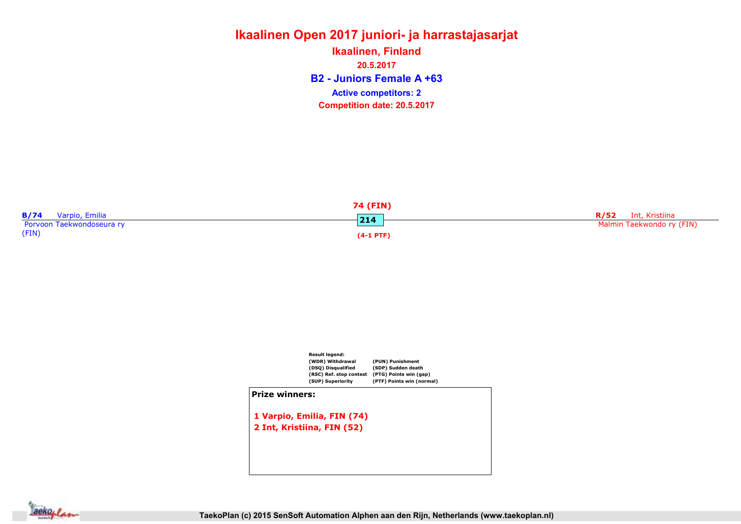# Ikaalinen Open 2017 juniori- ja harrastajasarjat Ikaalinen, Finland

B2 - Juniors Female A +63 20.5.2017 Competition date: 20.5.2017 Active competitors: 2





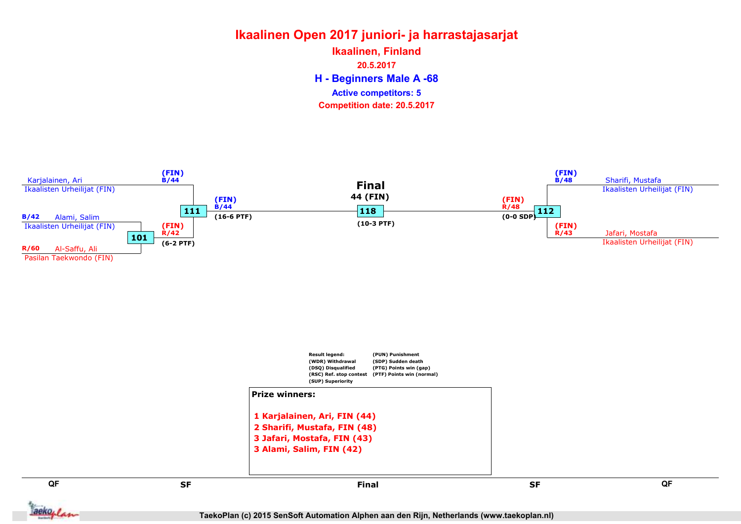# Ikaalinen Open 2017 juniori- ja harrastajasarjat

H - Beginners Male A -68 Ikaalinen, Finland 20.5.2017 Competition date: 20.5.2017 Active competitors: 5



QF QF set and the set of the set of the set of the set of the set of the set of the set of the set of the set of the 1 Karjalainen, Ari, FIN (44) 2 Sharifi, Mustafa, FIN (48) 3 Jafari, Mostafa, FIN (43) 3 Alami, Salim, FIN (42) Final

aekoplan

TaekoPlan (c) 2015 SenSoft Automation Alphen aan den Rijn, Netherlands (www.taekoplan.nl)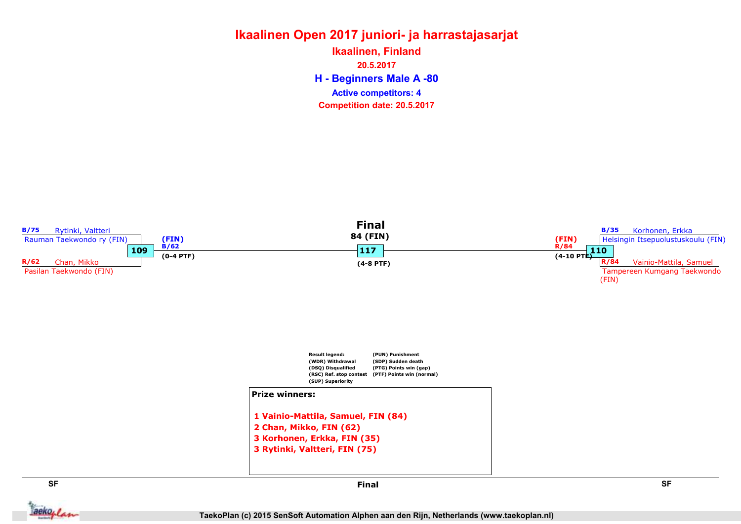# Ikaalinen Open 2017 juniori- ja harrastajasarjat

H - Beginners Male A -80 Ikaalinen, Finland 20.5.2017 Competition date: 20.5.2017 Active competitors: 4



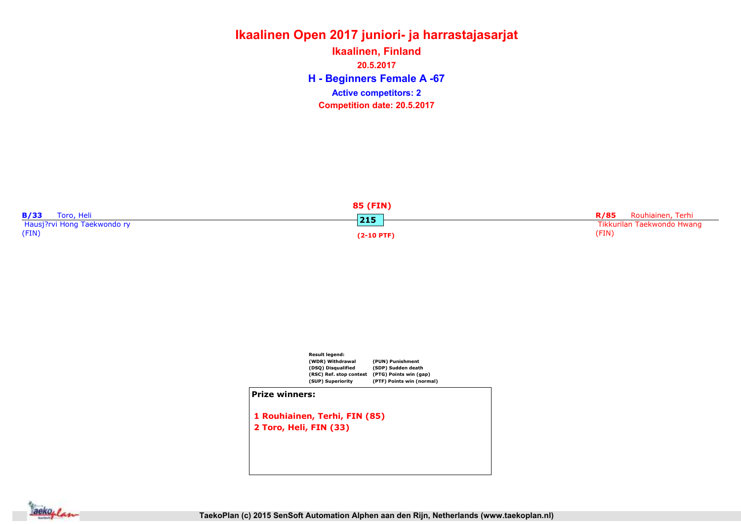# Ikaalinen Open 2017 juniori- ja harrastajasarjat H - Beginners Female A -67 Ikaalinen, Finland 20.5.2017 Competition date: 20.5.2017 Active competitors: 2

| 85 (FIN)                    |              |                                  |  |  |
|-----------------------------|--------------|----------------------------------|--|--|
| B/33<br>Toro, Heli          | 215          | Rouhiainen, Terhi<br><b>R/85</b> |  |  |
| Hausj?rvi Hong Taekwondo ry |              | Tikkurilan Taekwondo Hwang       |  |  |
| (FIN)                       | $(2-10$ PTF) | (FIN)                            |  |  |